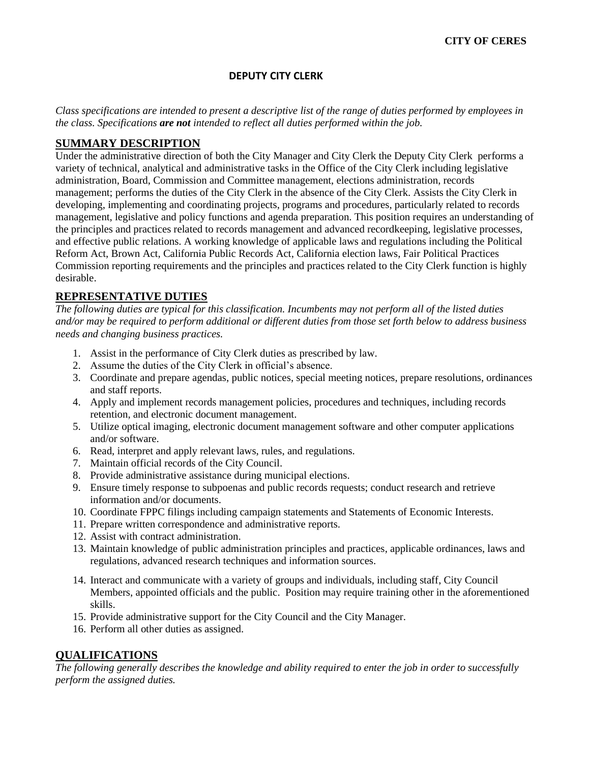#### **CITY OF CERES**

#### **DEPUTY CITY CLERK**

*Class specifications are intended to present a descriptive list of the range of duties performed by employees in the class. Specifications are not intended to reflect all duties performed within the job.*

### **SUMMARY DESCRIPTION**

Under the administrative direction of both the City Manager and City Clerk the Deputy City Clerk performs a variety of technical, analytical and administrative tasks in the Office of the City Clerk including legislative administration, Board, Commission and Committee management, elections administration, records management; performs the duties of the City Clerk in the absence of the City Clerk. Assists the City Clerk in developing, implementing and coordinating projects, programs and procedures, particularly related to records management, legislative and policy functions and agenda preparation. This position requires an understanding of the principles and practices related to records management and advanced recordkeeping, legislative processes, and effective public relations. A working knowledge of applicable laws and regulations including the Political Reform Act, Brown Act, California Public Records Act, California election laws, Fair Political Practices Commission reporting requirements and the principles and practices related to the City Clerk function is highly desirable.

# **REPRESENTATIVE DUTIES**

*The following duties are typical for this classification. Incumbents may not perform all of the listed duties and/or may be required to perform additional or different duties from those set forth below to address business needs and changing business practices.*

- 1. Assist in the performance of City Clerk duties as prescribed by law.
- 2. Assume the duties of the City Clerk in official's absence.
- 3. Coordinate and prepare agendas, public notices, special meeting notices, prepare resolutions, ordinances and staff reports.
- 4. Apply and implement records management policies, procedures and techniques, including records retention, and electronic document management.
- 5. Utilize optical imaging, electronic document management software and other computer applications and/or software.
- 6. Read, interpret and apply relevant laws, rules, and regulations.
- 7. Maintain official records of the City Council.
- 8. Provide administrative assistance during municipal elections.
- 9. Ensure timely response to subpoenas and public records requests; conduct research and retrieve information and/or documents.
- 10. Coordinate FPPC filings including campaign statements and Statements of Economic Interests.
- 11. Prepare written correspondence and administrative reports.
- 12. Assist with contract administration.
- 13. Maintain knowledge of public administration principles and practices, applicable ordinances, laws and regulations, advanced research techniques and information sources.
- 14. Interact and communicate with a variety of groups and individuals, including staff, City Council Members, appointed officials and the public. Position may require training other in the aforementioned skills.
- 15. Provide administrative support for the City Council and the City Manager.
- 16. Perform all other duties as assigned.

### **QUALIFICATIONS**

*The following generally describes the knowledge and ability required to enter the job in order to successfully perform the assigned duties.*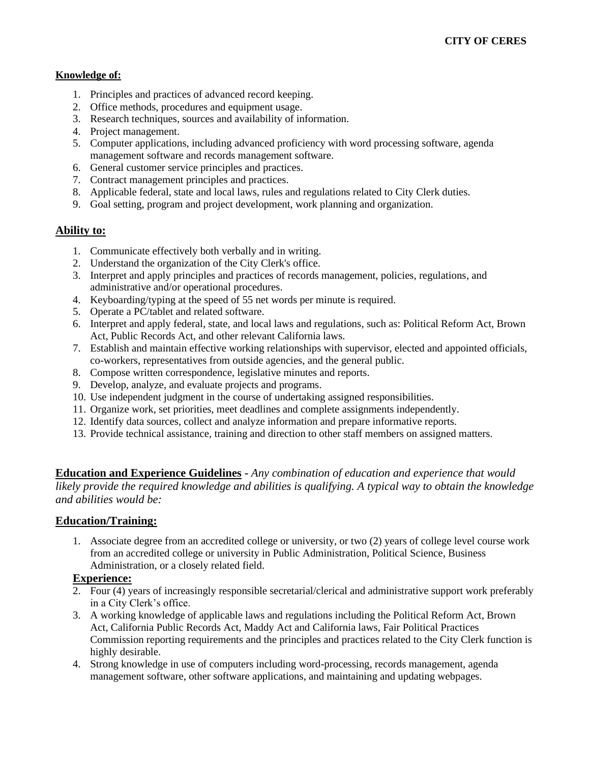#### **Knowledge of:**

- 1. Principles and practices of advanced record keeping.
- 2. Office methods, procedures and equipment usage.
- 3. Research techniques, sources and availability of information.
- 4. Project management.
- 5. Computer applications, including advanced proficiency with word processing software, agenda management software and records management software.
- 6. General customer service principles and practices.
- 7. Contract management principles and practices.
- 8. Applicable federal, state and local laws, rules and regulations related to City Clerk duties.
- 9. Goal setting, program and project development, work planning and organization.

# **Ability to:**

- 1. Communicate effectively both verbally and in writing.
- 2. Understand the organization of the City Clerk's office.
- 3. Interpret and apply principles and practices of records management, policies, regulations, and administrative and/or operational procedures.
- 4. Keyboarding/typing at the speed of 55 net words per minute is required.
- 5. Operate a PC/tablet and related software.
- 6. Interpret and apply federal, state, and local laws and regulations, such as: Political Reform Act, Brown Act, Public Records Act, and other relevant California laws.
- 7. Establish and maintain effective working relationships with supervisor, elected and appointed officials, co-workers, representatives from outside agencies, and the general public.
- 8. Compose written correspondence, legislative minutes and reports.
- 9. Develop, analyze, and evaluate projects and programs.
- 10. Use independent judgment in the course of undertaking assigned responsibilities.
- 11. Organize work, set priorities, meet deadlines and complete assignments independently.
- 12. Identify data sources, collect and analyze information and prepare informative reports.
- 13. Provide technical assistance, training and direction to other staff members on assigned matters.

**Education and Experience Guidelines -** *Any combination of education and experience that would likely provide the required knowledge and abilities is qualifying. A typical way to obtain the knowledge and abilities would be:*

#### **Education/Training:**

1. Associate degree from an accredited college or university, or two (2) years of college level course work from an accredited college or university in Public Administration, Political Science, Business Administration, or a closely related field.

# **Experience:**

- 2. Four (4) years of increasingly responsible secretarial/clerical and administrative support work preferably in a City Clerk's office.
- 3. A working knowledge of applicable laws and regulations including the Political Reform Act, Brown Act, California Public Records Act, Maddy Act and California laws, Fair Political Practices Commission reporting requirements and the principles and practices related to the City Clerk function is highly desirable.
- 4. Strong knowledge in use of computers including word-processing, records management, agenda management software, other software applications, and maintaining and updating webpages.